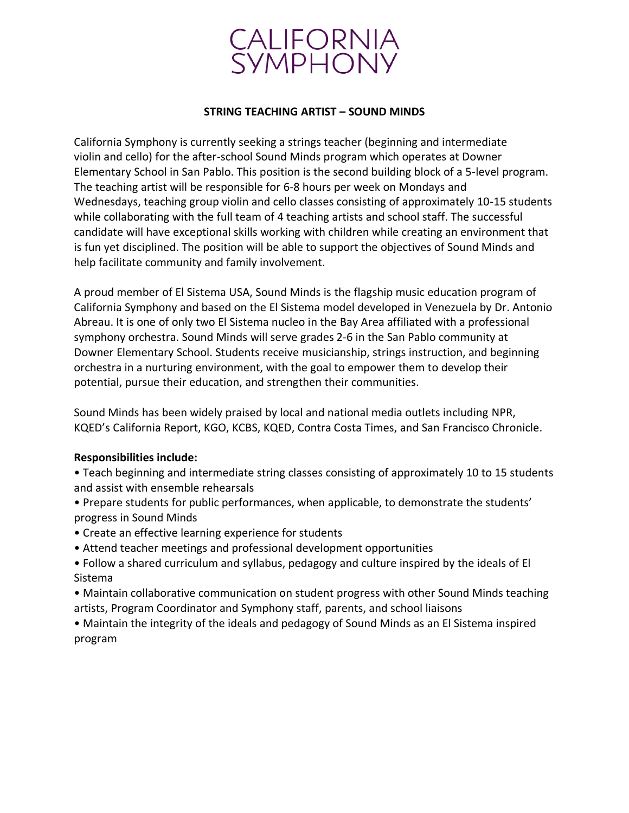

#### **STRING TEACHING ARTIST – SOUND MINDS**

California Symphony is currently seeking a strings teacher (beginning and intermediate violin and cello) for the after-school Sound Minds program which operates at Downer Elementary School in San Pablo. This position is the second building block of a 5-level program. The teaching artist will be responsible for 6-8 hours per week on Mondays and Wednesdays, teaching group violin and cello classes consisting of approximately 10-15 students while collaborating with the full team of 4 teaching artists and school staff. The successful candidate will have exceptional skills working with children while creating an environment that is fun yet disciplined. The position will be able to support the objectives of Sound Minds and help facilitate community and family involvement.

A proud member of El Sistema USA, Sound Minds is the flagship music education program of California Symphony and based on the El Sistema model developed in Venezuela by Dr. Antonio Abreau. It is one of only two El Sistema nucleo in the Bay Area affiliated with a professional symphony orchestra. Sound Minds will serve grades 2-6 in the San Pablo community at Downer Elementary School. Students receive musicianship, strings instruction, and beginning orchestra in a nurturing environment, with the goal to empower them to develop their potential, pursue their education, and strengthen their communities.

Sound Minds has been widely praised by local and national media outlets including NPR, KQED's California Report, KGO, KCBS, KQED, Contra Costa Times, and San Francisco Chronicle.

### **Responsibilities include:**

- Teach beginning and intermediate string classes consisting of approximately 10 to 15 students and assist with ensemble rehearsals
- Prepare students for public performances, when applicable, to demonstrate the students' progress in Sound Minds
- Create an effective learning experience for students
- Attend teacher meetings and professional development opportunities
- Follow a shared curriculum and syllabus, pedagogy and culture inspired by the ideals of El Sistema
- Maintain collaborative communication on student progress with other Sound Minds teaching artists, Program Coordinator and Symphony staff, parents, and school liaisons
- Maintain the integrity of the ideals and pedagogy of Sound Minds as an El Sistema inspired program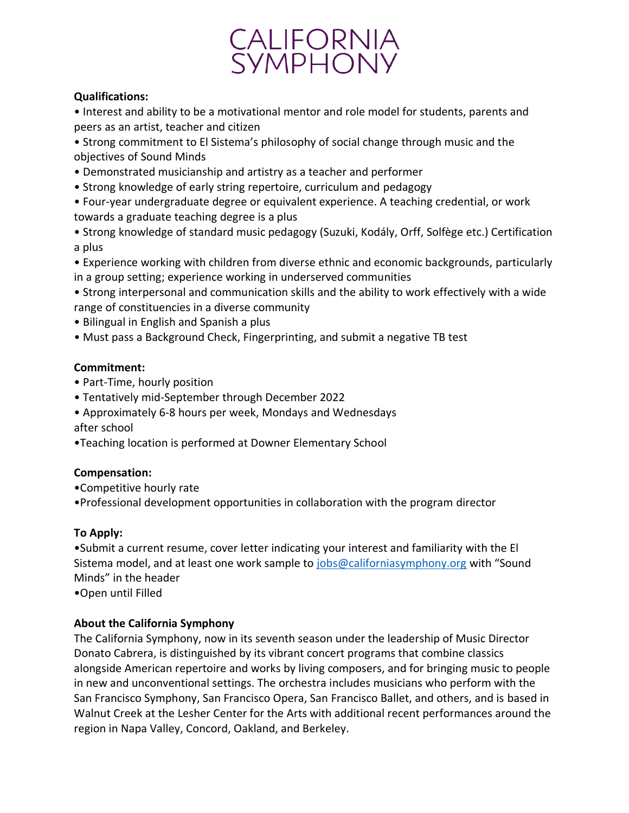# CALIFORNIA<br>SYMPHONY

### **Qualifications:**

• Interest and ability to be a motivational mentor and role model for students, parents and peers as an artist, teacher and citizen

• Strong commitment to El Sistema's philosophy of social change through music and the objectives of Sound Minds

- Demonstrated musicianship and artistry as a teacher and performer
- Strong knowledge of early string repertoire, curriculum and pedagogy

• Four-year undergraduate degree or equivalent experience. A teaching credential, or work towards a graduate teaching degree is a plus

- Strong knowledge of standard music pedagogy (Suzuki, Kodály, Orff, Solfège etc.) Certification a plus
- Experience working with children from diverse ethnic and economic backgrounds, particularly in a group setting; experience working in underserved communities
- Strong interpersonal and communication skills and the ability to work effectively with a wide range of constituencies in a diverse community
- Bilingual in English and Spanish a plus
- Must pass a Background Check, Fingerprinting, and submit a negative TB test

## **Commitment:**

- Part-Time, hourly position
- Tentatively mid-September through December 2022
- Approximately 6-8 hours per week, Mondays and Wednesdays after school
- •Teaching location is performed at Downer Elementary School

# **Compensation:**

- •Competitive hourly rate
- •Professional development opportunities in collaboration with the program director

# **To Apply:**

•Submit a current resume, cover letter indicating your interest and familiarity with the El Sistema model, and at least one work sample to  $\frac{1}{10}$  or  $\frac{1}{10}$  or  $\frac{1}{10}$  or  $\frac{1}{10}$  or  $\frac{1}{10}$  with "Sound Minds" in the header

•Open until Filled

# **About the California Symphony**

The California Symphony, now in its seventh season under the leadership of Music Director Donato Cabrera, is distinguished by its vibrant concert programs that combine classics alongside American repertoire and works by living composers, and for bringing music to people in new and unconventional settings. The orchestra includes musicians who perform with the San Francisco Symphony, San Francisco Opera, San Francisco Ballet, and others, and is based in Walnut Creek at the Lesher Center for the Arts with additional recent performances around the region in Napa Valley, Concord, Oakland, and Berkeley.